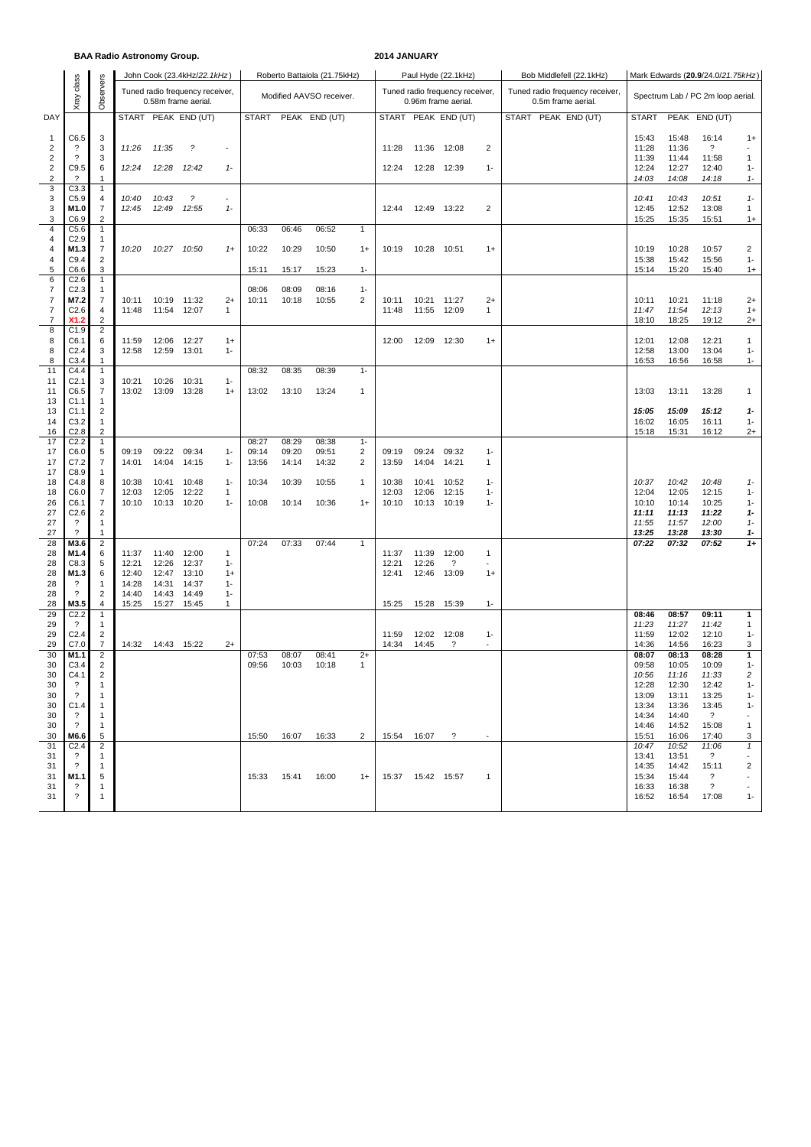#### **BAA Radio Astronomy Group. 2014 JANUARY**

|                                                    |                                                      |                                  |                                                        |                | John Cook (23.4kHz/22.1kHz) |                       |                          |                | Roberto Battaiola (21.75kHz) |                         |                |                     | Paul Hyde (22.1kHz)                                    |                          |              | Bob Middlefell (22.1kHz)                              | Mark Edwards (20.9/24.0/21.75kHz) |                |                                   |                          |  |  |
|----------------------------------------------------|------------------------------------------------------|----------------------------------|--------------------------------------------------------|----------------|-----------------------------|-----------------------|--------------------------|----------------|------------------------------|-------------------------|----------------|---------------------|--------------------------------------------------------|--------------------------|--------------|-------------------------------------------------------|-----------------------------------|----------------|-----------------------------------|--------------------------|--|--|
|                                                    | class<br>Xray                                        | Observers                        | Tuned radio frequency receiver,<br>0.58m frame aerial. |                |                             |                       | Modified AAVSO receiver. |                |                              |                         |                |                     | Tuned radio frequency receiver,<br>0.96m frame aerial. |                          |              | Tuned radio frequency receiver,<br>0.5m frame aerial. | Spectrum Lab / PC 2m loop aerial. |                |                                   |                          |  |  |
| DAY                                                |                                                      |                                  | <b>START</b>                                           |                | PEAK END (UT)               |                       | <b>START</b>             |                | PEAK END (UT)                |                         | <b>START</b>   |                     | PEAK END (UT)                                          |                          | <b>START</b> | PEAK END (UT)                                         | <b>START</b>                      |                | PEAK END (UT)                     |                          |  |  |
| 1                                                  | C6.5                                                 | 3                                |                                                        |                |                             |                       |                          |                |                              |                         |                |                     |                                                        |                          |              |                                                       | 15:43                             | 15:48          | 16:14                             | $1+$                     |  |  |
| $\overline{\mathbf{c}}$<br>$\overline{\mathbf{c}}$ | $\overline{\mathcal{E}}$<br>$\overline{\phantom{0}}$ | 3<br>3                           | 11:26                                                  | 11:35          | $\tilde{\mathcal{L}}$       | $\tilde{\phantom{a}}$ |                          |                |                              |                         | 11:28          | 11:36               | 12:08                                                  | $\overline{c}$           |              |                                                       | 11:28<br>11:39                    | 11:36<br>11:44 | $\overline{\mathcal{E}}$<br>11:58 | $\sim$<br>1              |  |  |
| $\overline{c}$                                     | C9.5                                                 | 6                                | 12:24                                                  | 12:28          | 12:42                       | $1 -$                 |                          |                |                              |                         | 12:24          | 12:28               | 12:39                                                  | $1 -$                    |              |                                                       | 12:24                             | 12:27          | 12:40                             | $1 -$                    |  |  |
| $\overline{2}$<br>3                                | ?<br>C3.3                                            | -1<br>$\mathbf{1}$               |                                                        |                |                             |                       |                          |                |                              |                         |                |                     |                                                        |                          |              |                                                       | 14:03                             | 14:08          | 14:18                             | $1-$                     |  |  |
| 3                                                  | C5.9                                                 | 4                                | 10:40                                                  | 10:43          | $\tilde{?}$                 | $\sim$                |                          |                |                              |                         |                |                     |                                                        |                          |              |                                                       | 10:41                             | 10:43          | 10:51                             | $1-$                     |  |  |
| 3<br>3                                             | M1.0<br>C6.9                                         | 7<br>2                           | 12:45                                                  | 12:49          | 12:55                       | $1 -$                 |                          |                |                              |                         | 12:44          |                     | 12:49 13:22                                            | $\overline{c}$           |              |                                                       | 12:45<br>15:25                    | 12:52<br>15:35 | 13:08<br>15:51                    | 1<br>$1+$                |  |  |
| $\overline{\mathbf{4}}$                            | C5.6                                                 | $\mathbf{1}$                     |                                                        |                |                             |                       | 06:33                    | 06:46          | 06:52                        | $\mathbf{1}$            |                |                     |                                                        |                          |              |                                                       |                                   |                |                                   |                          |  |  |
| 4<br>4                                             | C <sub>2.9</sub><br>M1.3                             | $\mathbf{1}$<br>7                | 10:20                                                  | 10:27          | 10:50                       | $1+$                  | 10:22                    | 10:29          | 10:50                        | $1+$                    | 10:19          | 10:28               | 10:51                                                  | $1+$                     |              |                                                       | 10:19                             | 10:28          | 10:57                             | $\overline{2}$           |  |  |
| 4                                                  | C9.4                                                 | 2                                |                                                        |                |                             |                       |                          |                |                              |                         |                |                     |                                                        |                          |              |                                                       | 15:38                             | 15:42          | 15:56                             | $1 -$                    |  |  |
| 5<br>6                                             | C6.6<br>C2.6                                         | 3<br>1                           |                                                        |                |                             |                       | 15:11                    | 15:17          | 15:23                        | $1 -$                   |                |                     |                                                        |                          |              |                                                       | 15:14                             | 15:20          | 15:40                             | $1+$                     |  |  |
| 7                                                  | C <sub>2.3</sub>                                     | $\mathbf{1}$                     |                                                        |                |                             |                       | 08:06                    | 08:09          | 08:16                        | $1 -$                   |                |                     |                                                        |                          |              |                                                       |                                   |                |                                   |                          |  |  |
| 7<br>$\overline{7}$                                | M7.2<br>C <sub>2.6</sub>                             | 7<br>4                           | 10:11<br>11:48                                         | 10:19<br>11:54 | 11:32<br>12:07              | $2+$<br>1             | 10:11                    | 10:18          | 10:55                        | 2                       | 10:11<br>11:48 | 10:21<br>11:55      | 11:27<br>12:09                                         | $2+$<br>1                |              |                                                       | 10:11<br>11:47                    | 10:21<br>11:54 | 11:18<br>12:13                    | $2+$<br>$1+$             |  |  |
| 7<br>8                                             | X <sub>1.2</sub><br>C1.9                             | 2                                |                                                        |                |                             |                       |                          |                |                              |                         |                |                     |                                                        |                          |              |                                                       | 18:10                             | 18:25          | 19:12                             | $2+$                     |  |  |
| 8                                                  | C6.1                                                 | 2<br>6                           | 11:59                                                  | 12:06          | 12:27                       | $1+$                  |                          |                |                              |                         | 12:00          | 12:09               | 12:30                                                  | $1+$                     |              |                                                       | 12:01                             | 12:08          | 12:21                             | $\mathbf{1}$             |  |  |
| 8<br>8                                             | C <sub>2.4</sub><br>C3.4                             | 3<br>1                           | 12:58                                                  | 12:59          | 13:01                       | $1 -$                 |                          |                |                              |                         |                |                     |                                                        |                          |              |                                                       | 12:58<br>16:53                    | 13:00<br>16:56 | 13:04<br>16:58                    | $1 -$<br>$1 -$           |  |  |
| 11                                                 | C4.4                                                 | $\mathbf{1}$                     |                                                        |                |                             |                       | 08:32                    | 08:35          | 08:39                        | $1 -$                   |                |                     |                                                        |                          |              |                                                       |                                   |                |                                   |                          |  |  |
| 11<br>11                                           | C <sub>2.1</sub><br>C6.5                             | 3<br>$\overline{7}$              | 10:21<br>13:02                                         | 10:26<br>13:09 | 10:31<br>13:28              | $1 -$<br>$1+$         | 13:02                    | 13:10          | 13:24                        | $\mathbf{1}$            |                |                     |                                                        |                          |              |                                                       | 13:03                             | 13:11          | 13:28                             | 1                        |  |  |
| 13                                                 | C <sub>1.1</sub>                                     | 1                                |                                                        |                |                             |                       |                          |                |                              |                         |                |                     |                                                        |                          |              |                                                       |                                   |                |                                   |                          |  |  |
| 13<br>14                                           | C1.1<br>C3.2                                         | $\overline{c}$<br>1              |                                                        |                |                             |                       |                          |                |                              |                         |                |                     |                                                        |                          |              |                                                       | 15:05<br>16:02                    | 15:09<br>16:05 | 15:12<br>16:11                    | $1-$<br>$1 -$            |  |  |
| 16                                                 | C <sub>2.8</sub>                                     | $\overline{2}$                   |                                                        |                |                             |                       |                          |                |                              |                         |                |                     |                                                        |                          |              |                                                       | 15:18                             | 15:31          | 16:12                             | $2+$                     |  |  |
| 17<br>17                                           | C <sub>2.2</sub><br>C6.0                             | $\mathbf{1}$<br>5                | 09:19                                                  | 09:22          | 09:34                       | $1 -$                 | 08:27<br>09:14           | 08:29<br>09:20 | 08:38<br>09:51               | $1 -$<br>$\overline{2}$ | 09:19          | 09:24               | 09:32                                                  | $1 -$                    |              |                                                       |                                   |                |                                   |                          |  |  |
| 17                                                 | C7.2                                                 | 7                                | 14:01                                                  | 14:04          | 14:15                       | $1 -$                 | 13:56                    | 14:14          | 14:32                        | 2                       | 13:59          | 14:04               | 14:21                                                  | 1                        |              |                                                       |                                   |                |                                   |                          |  |  |
| 17<br>18                                           | C8.9<br>C4.8                                         | $\mathbf{1}$<br>8                | 10:38                                                  | 10:41          | 10:48                       | $1 -$                 | 10:34                    | 10:39          | 10:55                        | $\mathbf{1}$            | 10:38          | 10:41               | 10:52                                                  | $1 -$                    |              |                                                       | 10:37                             | 10:42          | 10:48                             | $1-$                     |  |  |
| 18                                                 | C6.0                                                 | 7                                | 12:03                                                  | 12:05          | 12:22                       | $\mathbf{1}$          |                          |                |                              |                         | 12:03          | 12:06               | 12:15                                                  | $1 -$                    |              |                                                       | 12:04                             | 12:05          | 12:15                             | $1 -$                    |  |  |
| 26<br>27                                           | C6.1<br>C2.6                                         | $\overline{7}$<br>2              | 10:10                                                  | 10:13          | 10:20                       | $1 -$                 | 10:08                    | 10:14          | 10:36                        | $1+$                    | 10:10          | 10:13               | 10:19                                                  | $1 -$                    |              |                                                       | 10:10<br>11:11                    | 10:14<br>11:13 | 10:25<br>11:22                    | $1 -$<br>1-              |  |  |
| 27                                                 | $\overline{\mathcal{E}}$                             | 1                                |                                                        |                |                             |                       |                          |                |                              |                         |                |                     |                                                        |                          |              |                                                       | 11:55                             | 11:57          | 12:00                             | $1-$                     |  |  |
| 27<br>28                                           | $\gamma$<br>M3.6                                     | $\mathbf{1}$<br>$\overline{c}$   |                                                        |                |                             |                       | 07:24                    | 07:33          | 07:44                        | $\mathbf{1}$            |                |                     |                                                        |                          |              |                                                       | 13:25<br>07:22                    | 13:28<br>07:32 | 13:30<br>07:52                    | 1-<br>$1+$               |  |  |
| 28                                                 | M1.4                                                 | 6                                | 11:37                                                  | 11:40          | 12:00                       | 1                     |                          |                |                              |                         | 11:37          | 11:39               | 12:00                                                  | 1                        |              |                                                       |                                   |                |                                   |                          |  |  |
| 28<br>28                                           | C8.3<br>M1.3                                         | 5<br>6                           | 12:21<br>12:40                                         | 12:26<br>12:47 | 12:37<br>13:10              | $1 -$<br>$1+$         |                          |                |                              |                         | 12:21<br>12:41 | 12:26<br>12:46      | $\overline{\cdot}$<br>13:09                            | $1+$                     |              |                                                       |                                   |                |                                   |                          |  |  |
| 28                                                 | ?                                                    | $\mathbf{1}$                     | 14:28                                                  | 14:31          | 14:37                       | $1 -$                 |                          |                |                              |                         |                |                     |                                                        |                          |              |                                                       |                                   |                |                                   |                          |  |  |
| 28<br>28                                           | ?<br>M3.5                                            | $\overline{c}$<br>4              | 14:40<br>15:25                                         | 14:43<br>15:27 | 14:49<br>15:45              | $1 -$<br>$\mathbf{1}$ |                          |                |                              |                         | 15:25          | 15:28               | 15:39                                                  | $1 -$                    |              |                                                       |                                   |                |                                   |                          |  |  |
| 29<br>29                                           | C <sub>2.2</sub><br>$\cdot$                          | $\mathbf{1}$<br>$\mathbf{1}$     |                                                        |                |                             |                       |                          |                |                              |                         |                |                     |                                                        |                          |              |                                                       | 08:46<br>11:23                    | 08:57<br>11:27 | 09:11<br>11:42                    | 1<br>1                   |  |  |
| 29                                                 | C <sub>2.4</sub>                                     | $\overline{2}$                   |                                                        |                |                             |                       |                          |                |                              |                         | 11:59          | 12:02               | 12:08                                                  | $1 -$                    |              |                                                       | 11:59                             | 12:02          | 12:10                             | $1 -$                    |  |  |
| 29<br>30                                           | C7.0<br>M1.1                                         | $\overline{7}$<br>$\overline{2}$ | 14:32                                                  |                | 14:43 15:22                 | $2+$                  | 07:53                    | 08:07          | 08:41                        | $2+$                    | 14:34          | 14:45               | $\overline{\cdot}$                                     | $\overline{\phantom{a}}$ |              |                                                       | 14:36<br>08:07                    | 14:56<br>08:13 | 16:23<br>08:28                    | 3<br>1                   |  |  |
| 30                                                 | C3.4                                                 | $\overline{2}$                   |                                                        |                |                             |                       | 09:56                    | 10:03          | 10:18                        | 1                       |                |                     |                                                        |                          |              |                                                       | 09:58                             | 10:05          | 10:09                             | $1 -$                    |  |  |
| 30<br>30                                           | C4.1<br>$\overline{\mathcal{L}}$                     | $\overline{2}$<br>-1             |                                                        |                |                             |                       |                          |                |                              |                         |                |                     |                                                        |                          |              |                                                       | 10:56<br>12:28                    | 11:16<br>12:30 | 11:33<br>12:42                    | 2<br>$1 -$               |  |  |
| 30                                                 | ?                                                    | -1                               |                                                        |                |                             |                       |                          |                |                              |                         |                |                     |                                                        |                          |              |                                                       | 13:09                             | 13:11          | 13:25                             | $1 -$                    |  |  |
| 30<br>30                                           | C1.4<br>?                                            | $\mathbf{1}$<br>$\mathbf{1}$     |                                                        |                |                             |                       |                          |                |                              |                         |                |                     |                                                        |                          |              |                                                       | 13:34<br>14:34                    | 13:36<br>14:40 | 13:45<br>$\overline{\mathcal{L}}$ | $1 -$<br>$\sim$          |  |  |
| 30                                                 | ?                                                    | $\mathbf{1}$                     |                                                        |                |                             |                       |                          |                |                              |                         |                |                     |                                                        |                          |              |                                                       | 14:46                             | 14:52          | 15:08                             | -1                       |  |  |
| 30<br>31                                           | M6.6<br>C <sub>2.4</sub>                             | 5<br>2                           |                                                        |                |                             |                       | 15:50                    | 16:07          | 16:33                        | $\overline{2}$          |                | 15:54 16:07         | $\overline{\mathcal{L}}$                               | $\sim$                   |              |                                                       | 15:51<br>10:47                    | 16:06<br>10:52 | 17:40<br>11:06                    | 3<br>$\mathbf{1}$        |  |  |
| 31                                                 | ?                                                    | $\mathbf{1}$                     |                                                        |                |                             |                       |                          |                |                              |                         |                |                     |                                                        |                          |              |                                                       | 13:41                             | 13:51          | $\overline{?}$                    | $\sim$                   |  |  |
| 31<br>31                                           | $\cdot$<br>M1.1                                      | $\mathbf{1}$<br>5                |                                                        |                |                             |                       | 15:33 15:41              |                | 16:00                        | $1+$                    |                | 15:37  15:42  15:57 |                                                        | -1                       |              |                                                       | 14:35<br>15:34                    | 14:42<br>15:44 | 15:11<br>?                        | 2                        |  |  |
| 31                                                 | ?                                                    | -1                               |                                                        |                |                             |                       |                          |                |                              |                         |                |                     |                                                        |                          |              |                                                       | 16:33                             | 16:38          | $\overline{\mathcal{E}}$          | $\overline{\phantom{a}}$ |  |  |
| 31                                                 | ?                                                    | $\mathbf{1}$                     |                                                        |                |                             |                       |                          |                |                              |                         |                |                     |                                                        |                          |              |                                                       | 16:52                             | 16:54          | 17:08                             | $1 -$                    |  |  |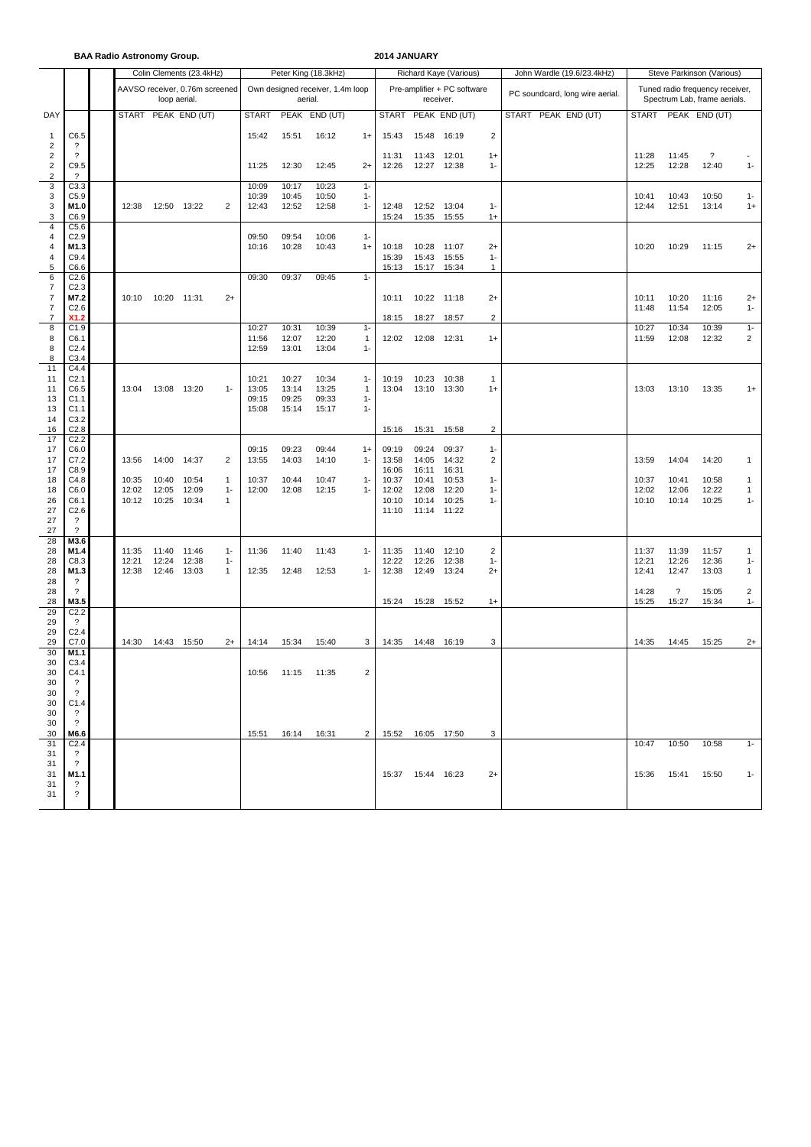**BAA Radio Astronomy Group. 2014 JANUARY**

|                                          |                                        |                |                | Colin Clements (23.4kHz)       |            |                                  |                     | Peter King (18.3kHz) |                             |                |                                 | Richard Kaye (Various)                                          |                         | John Wardle (19.6/23.4kHz) | Steve Parkinson (Various) |                               |                          |                         |  |  |  |
|------------------------------------------|----------------------------------------|----------------|----------------|--------------------------------|------------|----------------------------------|---------------------|----------------------|-----------------------------|----------------|---------------------------------|-----------------------------------------------------------------|-------------------------|----------------------------|---------------------------|-------------------------------|--------------------------|-------------------------|--|--|--|
|                                          |                                        |                | loop aerial.   | AAVSO receiver, 0.76m screened |            | Own designed receiver, 1.4m loop |                     | receiver.            | Pre-amplifier + PC software |                | PC soundcard, long wire aerial. | Tuned radio frequency receiver,<br>Spectrum Lab, frame aerials. |                         |                            |                           |                               |                          |                         |  |  |  |
| DAY                                      |                                        | <b>START</b>   |                | PEAK END (UT)                  |            | <b>START</b>                     |                     | PEAK END (UT)        |                             | <b>START</b>   |                                 | PEAK END (UT)                                                   |                         | START PEAK END (UT)        |                           |                               | START PEAK END (UT)      |                         |  |  |  |
| 1                                        | C6.5                                   |                |                |                                |            | 15:42                            | 15:51               | 16:12                | $1+$                        | 15:43          | 15:48                           | 16:19                                                           | $\overline{c}$          |                            |                           |                               |                          |                         |  |  |  |
| $\overline{c}$                           | $\cdot$<br>$\overline{\phantom{a}}$    |                |                |                                |            |                                  |                     |                      |                             | 11:31          |                                 |                                                                 |                         |                            | 11:28                     | 11:45                         | $\overline{\phantom{0}}$ |                         |  |  |  |
| $\overline{2}$<br>$\sqrt{2}$             | C9.5                                   |                |                |                                |            | 11:25                            | 12:30               | 12:45                | $2+$                        | 12:26          | 11:43 12:01<br>12:27 12:38      |                                                                 | $1+$<br>$1 -$           |                            | 12:25                     | 12:28                         | 12:40                    | $1 -$                   |  |  |  |
| $\sqrt{2}$<br>3                          | ?<br>C3.3                              |                |                |                                |            | 10:09                            | 10:17               | 10:23                | $1 -$                       |                |                                 |                                                                 |                         |                            |                           |                               |                          |                         |  |  |  |
| $\mathsf 3$                              | C5.9                                   |                |                |                                |            | 10:39                            | 10:45               | 10:50                | $1 -$                       |                |                                 |                                                                 |                         |                            | 10:41                     | 10:43                         | 10:50                    | $1 -$                   |  |  |  |
| $\mathsf 3$<br>$\ensuremath{\mathsf{3}}$ | M1.0<br>C6.9                           | 12:38          |                | 12:50 13:22                    | 2          | 12:43                            | 12:52               | 12:58                | $1 -$                       | 12:48<br>15:24 | 12:52<br>15:35                  | 13:04<br>15:55                                                  | $1 -$<br>$1+$           |                            | 12:44                     | 12:51                         | 13:14                    | $1+$                    |  |  |  |
| $\sqrt{4}$<br>$\overline{4}$             | C5.6<br>C <sub>2.9</sub>               |                |                |                                |            | 09:50                            | 09:54               | 10:06                | $1 -$                       |                |                                 |                                                                 |                         |                            |                           |                               |                          |                         |  |  |  |
| $\overline{4}$                           | M1.3                                   |                |                |                                |            | 10:16                            | 10:28               | 10:43                | $1+$                        | 10:18          | 10:28                           | 11:07                                                           | $2+$                    |                            | 10:20                     | 10:29                         | 11:15                    | $2+$                    |  |  |  |
| $\overline{4}$<br>5                      | C9.4<br>C6.6                           |                |                |                                |            |                                  |                     |                      |                             | 15:39<br>15:13 | 15:43<br>15:17                  | 15:55<br>15:34                                                  | $1 -$<br>$\mathbf{1}$   |                            |                           |                               |                          |                         |  |  |  |
| 6<br>$\overline{7}$                      | C <sub>2.6</sub>                       |                |                |                                |            | 09:30                            | 09:37               | 09:45                | $1 -$                       |                |                                 |                                                                 |                         |                            |                           |                               |                          |                         |  |  |  |
| $\overline{7}$                           | C <sub>2.3</sub><br>M7.2               | 10:10          | 10:20          | 11:31                          | $2+$       |                                  |                     |                      |                             | 10:11          | 10:22                           | 11:18                                                           | $2+$                    |                            | 10:11                     | 10:20                         | 11:16                    | $2+$                    |  |  |  |
| $\overline{7}$<br>$\overline{7}$         | C <sub>2.6</sub><br>X1.2               |                |                |                                |            |                                  |                     |                      |                             | 18:15          | 18:27                           | 18:57                                                           | 2                       |                            | 11:48                     | 11:54                         | 12:05                    | $1 -$                   |  |  |  |
| 8                                        | C1.9                                   |                |                |                                |            | 10:27                            | 10:31               | 10:39                | $1 -$                       |                |                                 |                                                                 |                         |                            | 10:27                     | 10:34                         | 10:39                    | $1 -$                   |  |  |  |
| 8<br>8                                   | C6.1<br>C <sub>2.4</sub>               |                |                |                                |            | 11:56<br>12:59                   | 12:07<br>13:01      | 12:20<br>13:04       | 1<br>$1 -$                  | 12:02          | 12:08                           | 12:31                                                           | $1+$                    |                            | 11:59                     | 12:08                         | 12:32                    | 2                       |  |  |  |
| 8<br>11                                  | C3.4<br>C4.4                           |                |                |                                |            |                                  |                     |                      |                             |                |                                 |                                                                 |                         |                            |                           |                               |                          |                         |  |  |  |
| 11                                       | C <sub>2.1</sub>                       |                |                |                                |            | 10:21                            | 10:27               | 10:34                | $1 -$                       | 10:19          | 10:23                           | 10:38                                                           | 1                       |                            |                           |                               |                          |                         |  |  |  |
| 11<br>13                                 | C6.5<br>C <sub>1.1</sub>               | 13:04          | 13:08 13:20    |                                | $1 -$      | 13:05<br>09:15                   | 13:14<br>09:25      | 13:25<br>09:33       | 1<br>$1 -$                  | 13:04          | 13:10                           | 13:30                                                           | $1+$                    |                            | 13:03                     | 13:10                         | 13:35                    | $1+$                    |  |  |  |
| 13<br>14                                 | C1.1<br>C <sub>3.2</sub>               |                |                |                                |            | 15:08                            | 15:14               | 15:17                | $1 -$                       |                |                                 |                                                                 |                         |                            |                           |                               |                          |                         |  |  |  |
| 16                                       | C <sub>2.8</sub>                       |                |                |                                |            |                                  |                     |                      |                             | 15:16          | 15:31                           | 15:58                                                           | $\overline{\mathbf{c}}$ |                            |                           |                               |                          |                         |  |  |  |
| 17<br>17                                 | C <sub>2.2</sub><br>C6.0               |                |                |                                |            | 09:15                            | 09:23               | 09:44                | $1+$                        | 09:19          | 09:24                           | 09:37                                                           | $1 -$                   |                            |                           |                               |                          |                         |  |  |  |
| 17<br>17                                 | C7.2<br>C8.9                           | 13:56          | 14:00          | 14:37                          | 2          | 13:55                            | 14:03               | 14:10                | $1 -$                       | 13:58<br>16:06 | 14:05<br>16:11                  | 14:32<br>16:31                                                  | $\overline{c}$          |                            | 13:59                     | 14:04                         | 14:20                    | $\mathbf{1}$            |  |  |  |
| 18                                       | C4.8                                   | 10:35          | 10:40          | 10:54                          | 1          | 10:37                            | 10:44               | 10:47                | $1 -$                       | 10:37          | 10:41                           | 10:53                                                           | $1 -$                   |                            | 10:37                     | 10:41                         | 10:58                    | 1                       |  |  |  |
| 18<br>26                                 | C6.0<br>C6.1                           | 12:02<br>10:12 | 12:05<br>10:25 | 12:09<br>10:34                 | $1 -$<br>1 | 12:00                            | 12:08               | 12:15                | $1 -$                       | 12:02<br>10:10 | 12:08<br>10:14                  | 12:20<br>10:25                                                  | $1 -$<br>1-             |                            | 12:02<br>10:10            | 12:06<br>10:14                | 12:22<br>10:25           | 1<br>$1 -$              |  |  |  |
| 27                                       | C <sub>2.6</sub><br>$\overline{\cdot}$ |                |                |                                |            |                                  |                     |                      |                             | 11:10          | 11:14                           | 11:22                                                           |                         |                            |                           |                               |                          |                         |  |  |  |
| 27<br>27                                 | $\overline{\phantom{0}}$               |                |                |                                |            |                                  |                     |                      |                             |                |                                 |                                                                 |                         |                            |                           |                               |                          |                         |  |  |  |
| 28<br>28                                 | M3.6<br>M1.4                           | 11:35          | 11:40          | 11:46                          | $1 -$      | 11:36                            | 11:40               | 11:43                | $1 -$                       | 11:35          | 11:40                           | 12:10                                                           | 2                       |                            | 11:37                     | 11:39                         | 11:57                    | 1                       |  |  |  |
| 28                                       | C8.3                                   | 12:21          | 12:24          | 12:38                          | $1 -$      |                                  |                     |                      |                             | 12:22          | 12:26                           | 12:38                                                           | $1 -$                   |                            | 12:21                     | 12:26                         | 12:36                    | $1 -$                   |  |  |  |
| 28<br>28                                 | M1.3<br>$\boldsymbol{\mathcal{P}}$     | 12:38          | 12:46          | 13:03                          | 1          | 12:35                            | 12:48               | 12:53                | $1 -$                       | 12:38          | 12:49                           | 13:24                                                           | $2+$                    |                            | 12:41                     | 12:47                         | 13:03                    | $\mathbf{1}$            |  |  |  |
| 28<br>28                                 | ?<br>M3.5                              |                |                |                                |            |                                  |                     |                      |                             | 15:24          | 15:28                           | 15:52                                                           | $1+$                    |                            | 14:28<br>15:25            | $\ddot{\phantom{0}}$<br>15:27 | 15:05<br>15:34           | $\overline{2}$<br>$1 -$ |  |  |  |
| 29                                       | C <sub>2.2</sub>                       |                |                |                                |            |                                  |                     |                      |                             |                |                                 |                                                                 |                         |                            |                           |                               |                          |                         |  |  |  |
| 29<br>29                                 | ?<br>C <sub>2.4</sub>                  |                |                |                                |            |                                  |                     |                      |                             |                |                                 |                                                                 |                         |                            |                           |                               |                          |                         |  |  |  |
| 29<br>30                                 | C7.0<br>M1.1                           | 14:30          | 14:43 15:50    |                                | $2+$       | 14:14                            | 15:34               | 15:40                | 3                           | 14:35          | 14:48 16:19                     |                                                                 | 3                       |                            | 14:35                     | 14:45                         | 15:25                    | $2+$                    |  |  |  |
| 30                                       | C3.4                                   |                |                |                                |            |                                  |                     |                      |                             |                |                                 |                                                                 |                         |                            |                           |                               |                          |                         |  |  |  |
| 30<br>30                                 | C4.1<br>$\overline{\mathcal{L}}$       |                |                |                                |            |                                  | 10:56 11:15         | 11:35                | $\overline{2}$              |                |                                 |                                                                 |                         |                            |                           |                               |                          |                         |  |  |  |
| 30<br>30                                 | $\cdot$ ?<br>C1.4                      |                |                |                                |            |                                  |                     |                      |                             |                |                                 |                                                                 |                         |                            |                           |                               |                          |                         |  |  |  |
| 30                                       | $\overline{\phantom{a}}$               |                |                |                                |            |                                  |                     |                      |                             |                |                                 |                                                                 |                         |                            |                           |                               |                          |                         |  |  |  |
| 30<br>30                                 | $\cdot$ ?<br>M6.6                      |                |                |                                |            |                                  | 15:51  16:14  16:31 |                      | $\mathbf{2}$                |                | 15:52  16:05  17:50             |                                                                 | 3                       |                            |                           |                               |                          |                         |  |  |  |
| 31<br>31                                 | C <sub>2.4</sub><br>$\overline{?}$     |                |                |                                |            |                                  |                     |                      |                             |                |                                 |                                                                 |                         |                            | 10:47                     | 10:50                         | 10:58                    | $1 -$                   |  |  |  |
| 31                                       | $\cdot$ ?                              |                |                |                                |            |                                  |                     |                      |                             |                |                                 |                                                                 |                         |                            |                           |                               |                          |                         |  |  |  |
| 31<br>31                                 | M1.1<br>$\cdot$                        |                |                |                                |            |                                  |                     |                      |                             |                | 15:37  15:44  16:23             |                                                                 | $2+$                    |                            | 15:36                     |                               | 15:41  15:50             | $1 -$                   |  |  |  |
| 31                                       | $\overline{\cdot}$                     |                |                |                                |            |                                  |                     |                      |                             |                |                                 |                                                                 |                         |                            |                           |                               |                          |                         |  |  |  |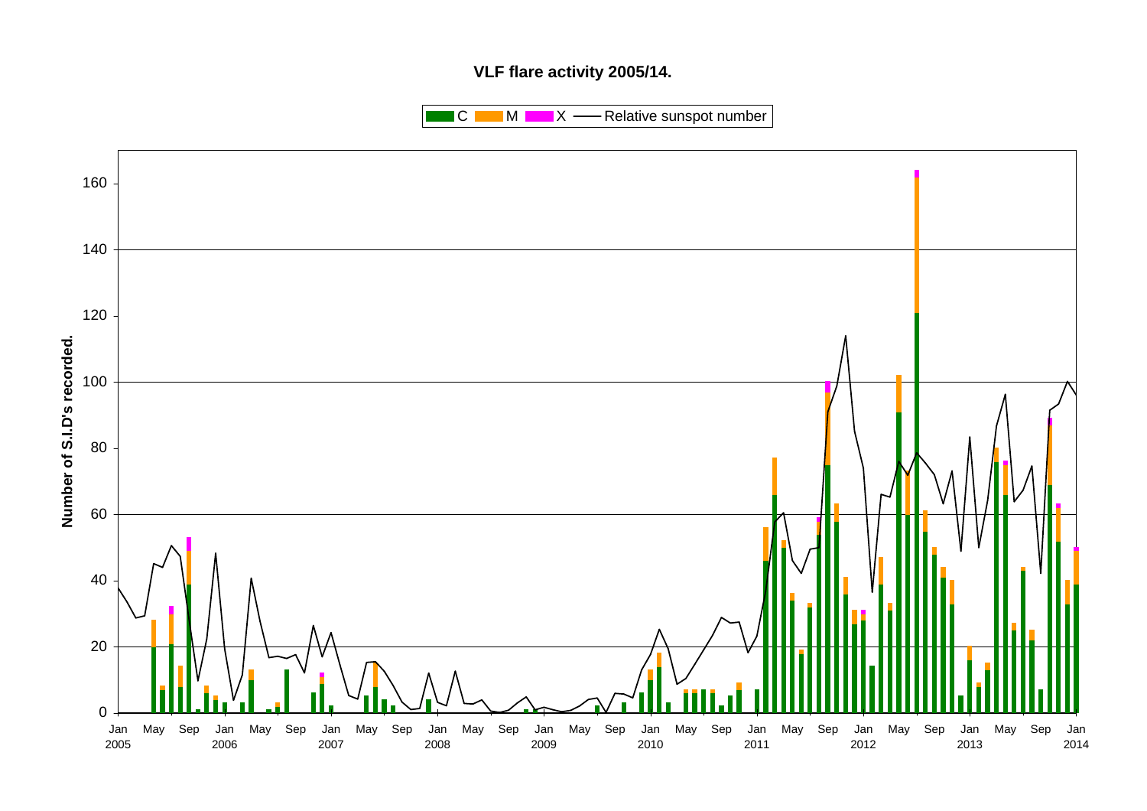# **VLF flare activity 2005/14.**

 $\blacksquare$  C  $\blacksquare$  M  $\blacksquare$   $\blacksquare$  X  $\blacksquare$  Relative sunspot number

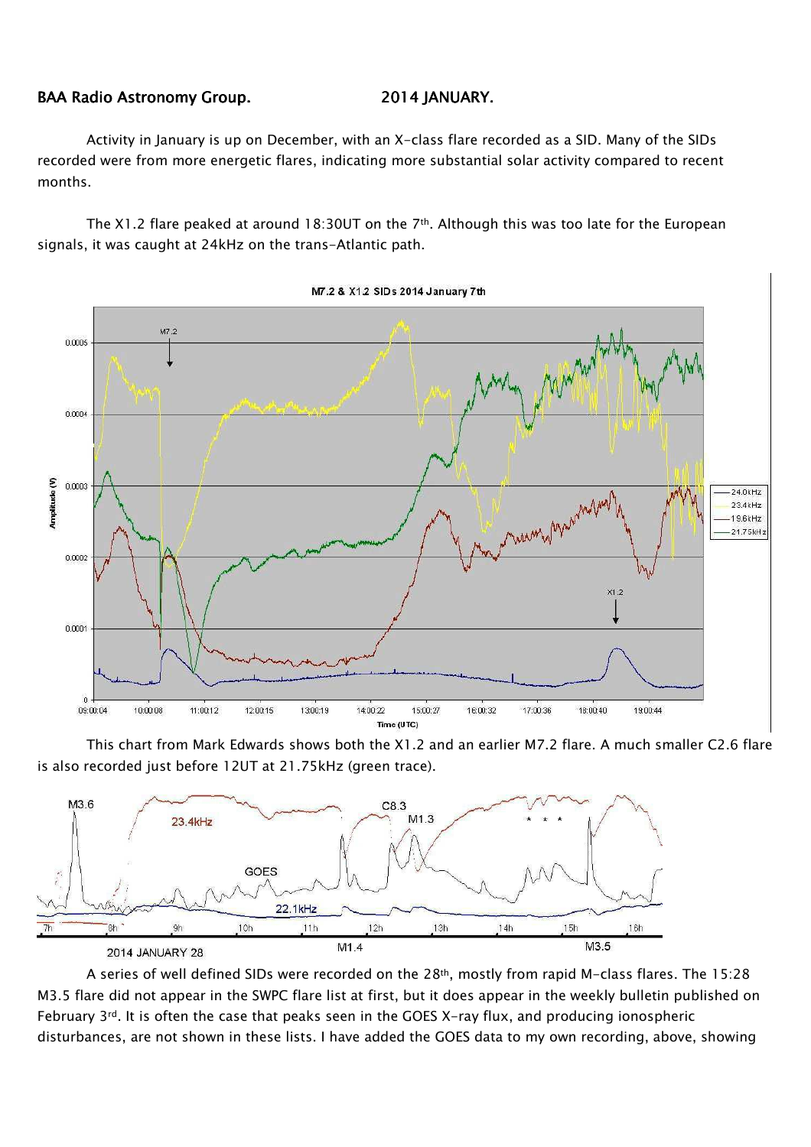### BAA Radio Astronomy Group. 2014 JANUARY.

Activity in January is up on December, with an X-class flare recorded as a SID. Many of the SIDs recorded were from more energetic flares, indicating more substantial solar activity compared to recent months.

The X1.2 flare peaked at around 18:30UT on the 7<sup>th</sup>. Although this was too late for the European signals, it was caught at 24kHz on the trans-Atlantic path.



M7.2 & X1.2 SIDs 2014 January 7th

This chart from Mark Edwards shows both the X1.2 and an earlier M7.2 flare. A much smaller C2.6 flare is also recorded just before 12UT at 21.75kHz (green trace).



A series of well defined SIDs were recorded on the 28<sup>th</sup>, mostly from rapid M-class flares. The 15:28 M3.5 flare did not appear in the SWPC flare list at first, but it does appear in the weekly bulletin published on February 3rd. It is often the case that peaks seen in the GOES X-ray flux, and producing ionospheric disturbances, are not shown in these lists. I have added the GOES data to my own recording, above, showing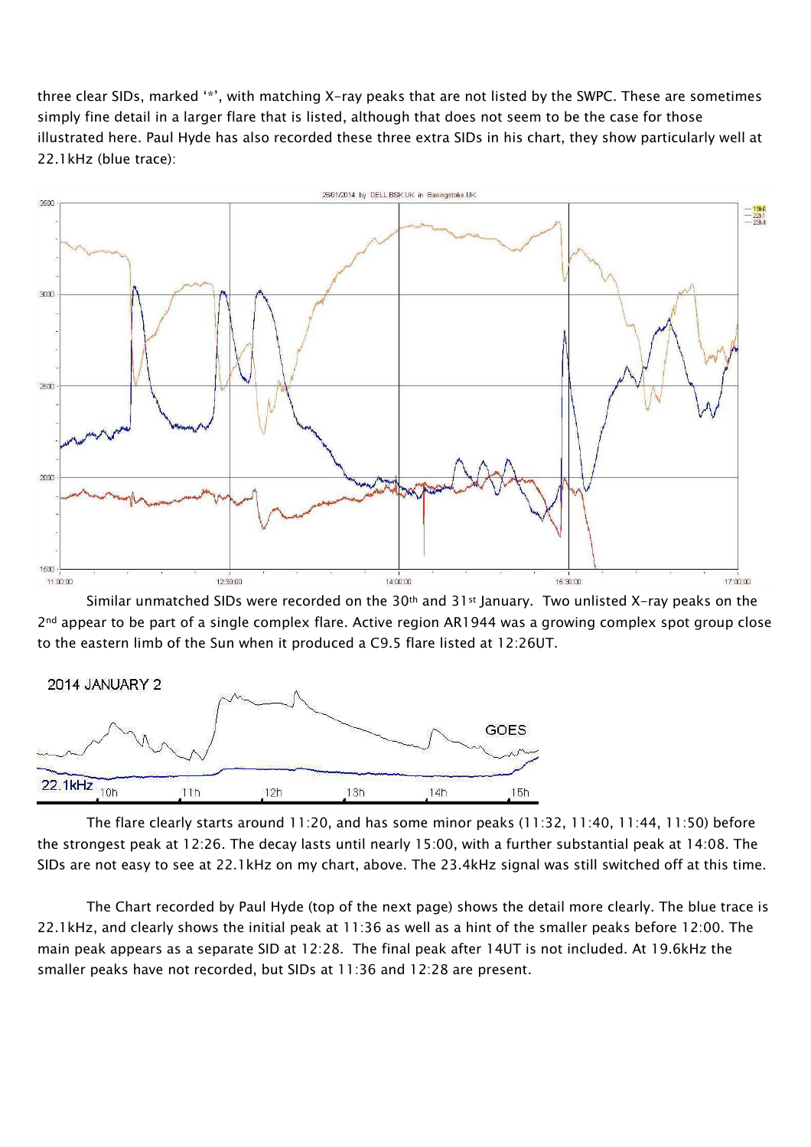three clear SIDs, marked '\*', with matching X-ray peaks that are not listed by the SWPC. These are sometimes simply fine detail in a larger flare that is listed, although that does not seem to be the case for those illustrated here. Paul Hyde has also recorded these three extra SIDs in his chart, they show particularly well at 22.1kHz (blue trace):



Similar unmatched SIDs were recorded on the 30<sup>th</sup> and 31<sup>st</sup> January. Two unlisted X-ray peaks on the 2<sup>nd</sup> appear to be part of a single complex flare. Active region AR1944 was a growing complex spot group close to the eastern limb of the Sun when it produced a C9.5 flare listed at 12:26UT.



The flare clearly starts around 11:20, and has some minor peaks (11:32, 11:40, 11:44, 11:50) before the strongest peak at 12:26. The decay lasts until nearly 15:00, with a further substantial peak at 14:08. The SIDs are not easy to see at 22.1kHz on my chart, above. The 23.4kHz signal was still switched off at this time.

The Chart recorded by Paul Hyde (top of the next page) shows the detail more clearly. The blue trace is 22.1kHz, and clearly shows the initial peak at 11:36 as well as a hint of the smaller peaks before 12:00. The main peak appears as a separate SID at 12:28. The final peak after 14UT is not included. At 19.6kHz the smaller peaks have not recorded, but SIDs at 11:36 and 12:28 are present.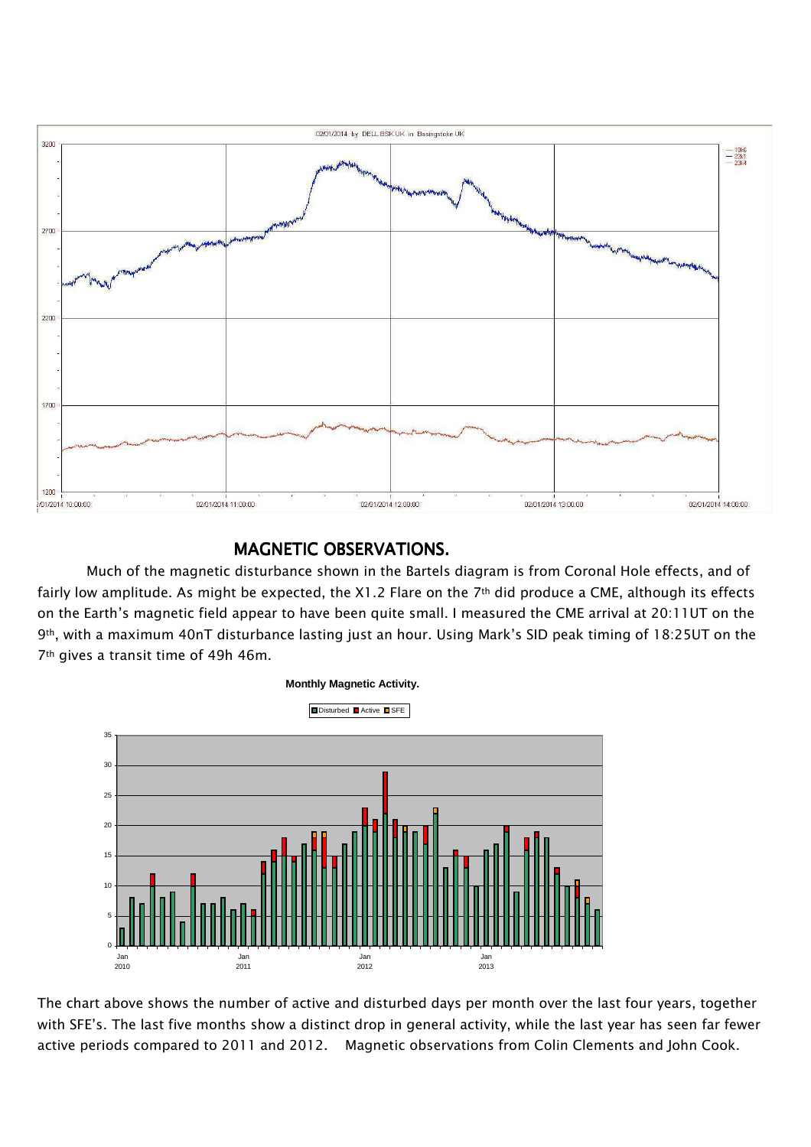

## MAGNETIC OBSERVATIONS.

Much of the magnetic disturbance shown in the Bartels diagram is from Coronal Hole effects, and of fairly low amplitude. As might be expected, the X1.2 Flare on the 7th did produce a CME, although its effects on the Earth's magnetic field appear to have been quite small. I measured the CME arrival at 20:11UT on the 9th, with a maximum 40nT disturbance lasting just an hour. Using Mark's SID peak timing of 18:25UT on the 7th gives a transit time of 49h 46m.



The chart above shows the number of active and disturbed days per month over the last four years, together with SFE's. The last five months show a distinct drop in general activity, while the last year has seen far fewer active periods compared to 2011 and 2012. Magnetic observations from Colin Clements and John Cook.